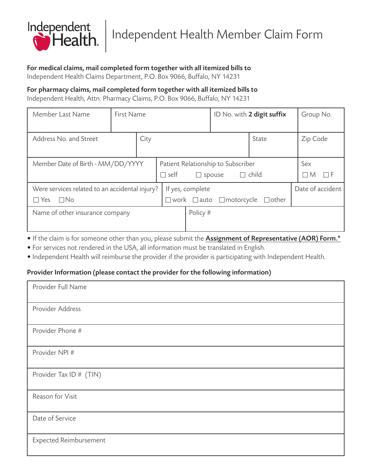

# For medical claims, mail completed form together with all itemized bills to

Independent Health Claims Department, P.O. Box 9066, Buffalo, NY 14231

## For pharmacy claims, mail completed form together with all itemized bills to

Independent Health, Attn: Pharmacy Claims, P.O. Box 9066, Buffalo, NY 14231

| Member Last Name                               | First Name |                  |                                                                    |          | ID No. with 2 digit suffix |                   | Group No. |
|------------------------------------------------|------------|------------------|--------------------------------------------------------------------|----------|----------------------------|-------------------|-----------|
|                                                |            |                  |                                                                    |          |                            |                   |           |
| Address No. and Street                         |            | City             |                                                                    | State    | Zip Code                   |                   |           |
|                                                |            |                  |                                                                    |          |                            |                   |           |
| Member Date of Birth - MM/DD/YYYY              |            |                  | Patient Relationship to Subscriber                                 |          |                            | Sex               |           |
|                                                |            |                  | $\Box$ child<br>self<br>spouse<br>$\Box$                           |          |                            | M<br>$\mathbf{L}$ |           |
| Were services related to an accidental injury? |            | If yes, complete |                                                                    |          | Date of accident           |                   |           |
| ∏No<br>Yes                                     |            |                  | $\Box$ motorcycle<br>$\Box$ other<br>$\square$ work $\square$ auto |          |                            |                   |           |
| Name of other insurance company                |            |                  |                                                                    | Policy # |                            |                   |           |
|                                                |            |                  |                                                                    |          |                            |                   |           |

• If the claim is for someone other than you, please submit the Assignment of Representative (AOR) Form.\*

- For services not rendered in the USA, all information must be translated in English.
- Independent Health will reimburse the provider if the provider is participating with Independent Health.

## Provider Information (please contact the provider for the following information)

| Provider Full Name            |
|-------------------------------|
| Provider Address              |
| Provider Phone #              |
| Provider NPI #                |
| Provider Tax ID # (TIN)       |
| Reason for Visit              |
| Date of Service               |
| <b>Expected Reimbursement</b> |